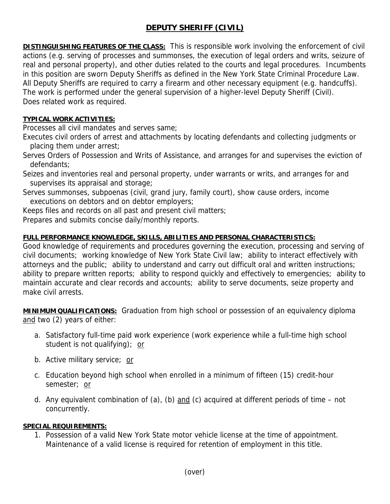## **DEPUTY SHERIFF (CIVIL)**

**DISTINGUISHING FEATURES OF THE CLASS:** This is responsible work involving the enforcement of civil actions (e.g. serving of processes and summonses, the execution of legal orders and writs, seizure of real and personal property), and other duties related to the courts and legal procedures. Incumbents in this position are sworn Deputy Sheriffs as defined in the New York State Criminal Procedure Law. All Deputy Sheriffs are required to carry a firearm and other necessary equipment (e.g. handcuffs). The work is performed under the general supervision of a higher-level Deputy Sheriff (Civil). Does related work as required.

## **TYPICAL WORK ACTIVITIES:**

Processes all civil mandates and serves same;

Executes civil orders of arrest and attachments by locating defendants and collecting judgments or placing them under arrest;

Serves Orders of Possession and Writs of Assistance, and arranges for and supervises the eviction of defendants;

Seizes and inventories real and personal property, under warrants or writs, and arranges for and supervises its appraisal and storage;

Serves summonses, subpoenas (civil, grand jury, family court), show cause orders, income executions on debtors and on debtor employers;

Keeps files and records on all past and present civil matters;

Prepares and submits concise daily/monthly reports.

## **FULL PERFORMANCE KNOWLEDGE, SKILLS, ABILITIES AND PERSONAL CHARACTERISTICS:**

Good knowledge of requirements and procedures governing the execution, processing and serving of civil documents; working knowledge of New York State Civil law; ability to interact effectively with attorneys and the public; ability to understand and carry out difficult oral and written instructions; ability to prepare written reports; ability to respond quickly and effectively to emergencies; ability to maintain accurate and clear records and accounts; ability to serve documents, seize property and make civil arrests.

**MINIMUM QUALIFICATIONS:** Graduation from high school or possession of an equivalency diploma and two (2) years of either:

- a. Satisfactory full-time paid work experience (work experience while a full-time high school student is not qualifying); or
- b. Active military service; or
- c. Education beyond high school when enrolled in a minimum of fifteen (15) credit-hour semester; or
- d. Any equivalent combination of (a), (b) and (c) acquired at different periods of time not concurrently.

## **SPECIAL REQUIREMENTS:**

1. Possession of a valid New York State motor vehicle license at the time of appointment. Maintenance of a valid license is required for retention of employment in this title.